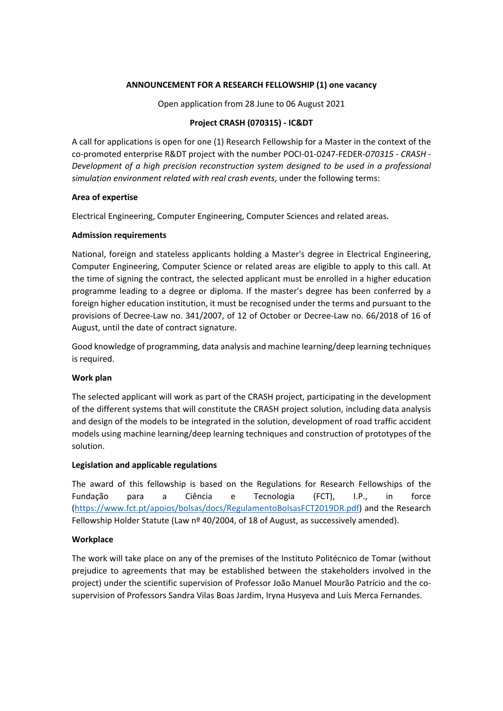## **ANNOUNCEMENT FOR A RESEARCH FELLOWSHIP (1) one vacancy**

Open application from 28 June to 06 August 2021

# **Project CRASH (070315) - IC&DT**

A call for applications is open for one (1) Research Fellowship for a Master in the context of the co-promoted enterprise R&DT project with the number POCI-01-0247-FEDER-*070315 - CRASH - Development of a high precision reconstruction system designed to be used in a professional simulation environment related with real crash events*, under the following terms:

### **Area of expertise**

Electrical Engineering, Computer Engineering, Computer Sciences and related areas.

## **Admission requirements**

National, foreign and stateless applicants holding a Master's degree in Electrical Engineering, Computer Engineering, Computer Science or related areas are eligible to apply to this call. At the time of signing the contract, the selected applicant must be enrolled in a higher education programme leading to a degree or diploma. If the master's degree has been conferred by a foreign higher education institution, it must be recognised under the terms and pursuant to the provisions of Decree-Law no. 341/2007, of 12 of October or Decree-Law no. 66/2018 of 16 of August, until the date of contract signature.

Good knowledge of programming, data analysis and machine learning/deep learning techniques is required.

### **Work plan**

The selected applicant will work as part of the CRASH project, participating in the development of the different systems that will constitute the CRASH project solution, including data analysis and design of the models to be integrated in the solution, development of road traffic accident models using machine learning/deep learning techniques and construction of prototypes of the solution.

### **Legislation and applicable regulations**

The award of this fellowship is based on the Regulations for Research Fellowships of the Fundação para a Ciência e Tecnologia (FCT), I.P., in force [\(https://www.fct.pt/apoios/bolsas/docs/RegulamentoBolsasFCT2019DR.pdf\)](https://www.fct.pt/apoios/bolsas/docs/RegulamentoBolsasFCT2019DR.pdf) and the Research Fellowship Holder Statute (Law nº 40/2004, of 18 of August, as successively amended).

### **Workplace**

The work will take place on any of the premises of the Instituto Politécnico de Tomar (without prejudice to agreements that may be established between the stakeholders involved in the project) under the scientific supervision of Professor João Manuel Mourão Patrício and the cosupervision of Professors Sandra Vilas Boas Jardim, Iryna Husyeva and Luís Merca Fernandes.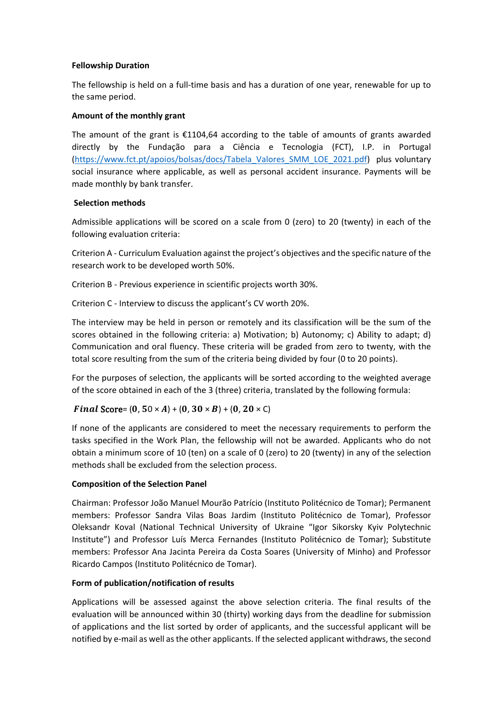## **Fellowship Duration**

The fellowship is held on a full-time basis and has a duration of one year, renewable for up to the same period.

## **Amount of the monthly grant**

The amount of the grant is  $\epsilon$ 1104,64 according to the table of amounts of grants awarded directly by the Fundação para a Ciência e Tecnologia (FCT), I.P. in Portugal [\(https://www.fct.pt/apoios/bolsas/docs/Tabela\\_Valores\\_SMM\\_LOE\\_2021.pdf\)](https://www.fct.pt/apoios/bolsas/docs/Tabela_Valores_SMM_LOE_2021.pdf) plus voluntary social insurance where applicable, as well as personal accident insurance. Payments will be made monthly by bank transfer.

## **Selection methods**

Admissible applications will be scored on a scale from 0 (zero) to 20 (twenty) in each of the following evaluation criteria:

Criterion A - Curriculum Evaluation against the project's objectives and the specific nature of the research work to be developed worth 50%.

Criterion B - Previous experience in scientific projects worth 30%.

Criterion C - Interview to discuss the applicant's CV worth 20%.

The interview may be held in person or remotely and its classification will be the sum of the scores obtained in the following criteria: a) Motivation; b) Autonomy; c) Ability to adapt; d) Communication and oral fluency. These criteria will be graded from zero to twenty, with the total score resulting from the sum of the criteria being divided by four (0 to 20 points).

For the purposes of selection, the applicants will be sorted according to the weighted average of the score obtained in each of the 3 (three) criteria, translated by the following formula:

# Final Score=  $(0, 50 \times A) + (0, 30 \times B) + (0, 20 \times C)$

If none of the applicants are considered to meet the necessary requirements to perform the tasks specified in the Work Plan, the fellowship will not be awarded. Applicants who do not obtain a minimum score of 10 (ten) on a scale of 0 (zero) to 20 (twenty) in any of the selection methods shall be excluded from the selection process.

### **Composition of the Selection Panel**

Chairman: Professor João Manuel Mourão Patrício (Instituto Politécnico de Tomar); Permanent members: Professor Sandra Vilas Boas Jardim (Instituto Politécnico de Tomar), Professor Oleksandr Koval (National Technical University of Ukraine "Igor Sikorsky Kyiv Polytechnic Institute") and Professor Luís Merca Fernandes (Instituto Politécnico de Tomar); Substitute members: Professor Ana Jacinta Pereira da Costa Soares (University of Minho) and Professor Ricardo Campos (Instituto Politécnico de Tomar).

# **Form of publication/notification of results**

Applications will be assessed against the above selection criteria. The final results of the evaluation will be announced within 30 (thirty) working days from the deadline for submission of applications and the list sorted by order of applicants, and the successful applicant will be notified by e-mail as well as the other applicants. If the selected applicant withdraws, the second